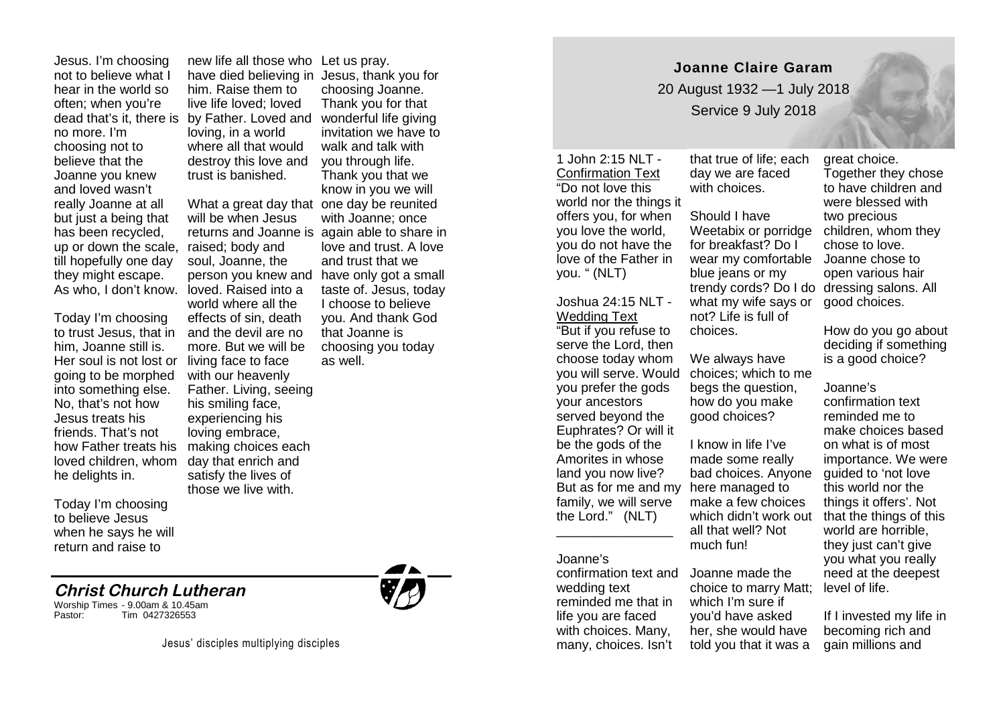Jesus. I'm choosing not to believe what I hear in the world so often; when you're no more. I'm choosing not to believe that the Joanne you knew and loved wasn't really Joanne at all but just a being that has been recycled, up or down the scale, till hopefully one day they might escape.

Today I'm choosing to trust Jesus, that in him, Joanne still is. Her soul is not lost or going to be morphed into something else. No, that's not how Jesus treats his friends. That's not how Father treats his loved children, whom he delights in.

Today I'm choosing to believe Jesus when he says he will return and raise to

# dead that's it, there is by Father. Loved and new life all those who Let us pray. him. Raise them to live life loved; loved loving, in a world where all that would destroy this love and trust is banished.

As who, I don't know. loved. Raised into a ta What a great day that one day be reunited will be when Jesus returns and Joanne is again able to share in raised; body and soul, Joanne, the person you knew and world where all the effects of sin, death and the devil are no more. But we will be living face to face with our heavenly Father. Living, seeing his smiling face, experiencing his loving embrace, making choices each day that enrich and satisfy the lives of those we live with.

have died believing in Jesus, thank you for choosing Joanne. Thank you for that wonderful life giving invitation we have to walk and talk with you through life. Thank you that we know in you we will with Joanne; once love and trust. A love and trust that we have only got a small taste of. Jesus, today I choose to believe you. And thank God that Joanne is choosing you today as well.

\_\_\_\_\_\_\_\_\_\_\_\_\_\_\_\_

# **Christ Church Lutheran**

Worship Times - 9.00am & 10.45am Tim 0427326553



**Joanne Claire Garam** 20 August 1932 —1 July 2018

Service 9 July 2018

### 1 John 2:15 NLT - Confirmation Text "Do not love this world nor the things it offers you, for when you love the world, you do not have the

love of the Father in you. " (NLT)

## Joshua 24:15 NLT - Wedding Text

"But if you refuse to serve the Lord, then choose today whom you will serve. Would you prefer the gods your ancestors served beyond the Euphrates? Or will it be the gods of the Amorites in whose land you now live? family, we will serve the Lord." (NLT)

## Joanne's

confirmation text and wedding text reminded me that in life you are faced with choices. Many, many, choices. Isn't

that true of life; each day we are faced with choices.

Should I have Weetabix or porridge for breakfast? Do I wear my comfortable Joanne chose to blue jeans or my trendy cords? Do I do dressing salons. All what my wife says or not? Life is full of choices.

We always have choices; which to me begs the question, how do you make good choices?

But as for me and my here managed to I know in life I've made some really bad choices. Anyone make a few choices all that well? Not much fun!

> Joanne made the choice to marry Matt; which I'm sure if you'd have asked her, she would have told you that it was a

great choice. Together they chose to have children and were blessed with two precious children, whom they chose to love. open various hair good choices.

How do you go about deciding if something is a good choice?

Joanne's

which didn't work out that the things of this confirmation text reminded me to make choices based on what is of most importance. We were guided to 'not love this world nor the things it offers'. Not world are horrible, they just can't give you what you really need at the deepest level of life.

> If I invested my life in becoming rich and gain millions and

Jesus' disciples multiplying disciples